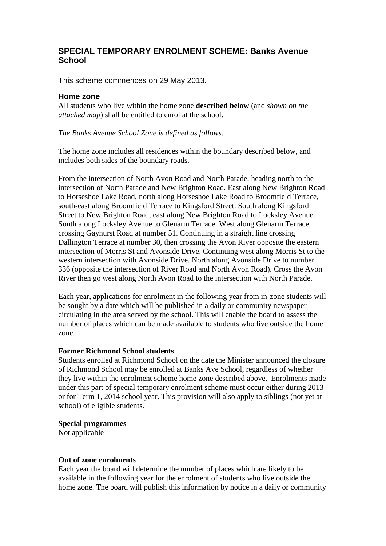## **SPECIAL TEMPORARY ENROLMENT SCHEME: Banks Avenue School**

This scheme commences on 29 May 2013.

## **Home zone**

All students who live within the home zone **described below** (and *shown on the attached map*) shall be entitled to enrol at the school.

*The Banks Avenue School Zone is defined as follows:*

The home zone includes all residences within the boundary described below, and includes both sides of the boundary roads.

From the intersection of North Avon Road and North Parade, heading north to the intersection of North Parade and New Brighton Road. East along New Brighton Road to Horseshoe Lake Road, north along Horseshoe Lake Road to Broomfield Terrace, south-east along Broomfield Terrace to Kingsford Street. South along Kingsford Street to New Brighton Road, east along New Brighton Road to Locksley Avenue. South along Locksley Avenue to Glenarm Terrace. West along Glenarm Terrace, crossing Gayhurst Road at number 51. Continuing in a straight line crossing Dallington Terrace at number 30, then crossing the Avon River opposite the eastern intersection of Morris St and Avonside Drive. Continuing west along Morris St to the western intersection with Avonside Drive. North along Avonside Drive to number 336 (opposite the intersection of River Road and North Avon Road). Cross the Avon River then go west along North Avon Road to the intersection with North Parade.

Each year, applications for enrolment in the following year from in-zone students will be sought by a date which will be published in a daily or community newspaper circulating in the area served by the school. This will enable the board to assess the number of places which can be made available to students who live outside the home zone.

## **Former Richmond School students**

Students enrolled at Richmond School on the date the Minister announced the closure of Richmond School may be enrolled at Banks Ave School, regardless of whether they live within the enrolment scheme home zone described above. Enrolments made under this part of special temporary enrolment scheme must occur either during 2013 or for Term 1, 2014 school year. This provision will also apply to siblings (not yet at school) of eligible students.

**Special programmes**

Not applicable

## **Out of zone enrolments**

Each year the board will determine the number of places which are likely to be available in the following year for the enrolment of students who live outside the home zone. The board will publish this information by notice in a daily or community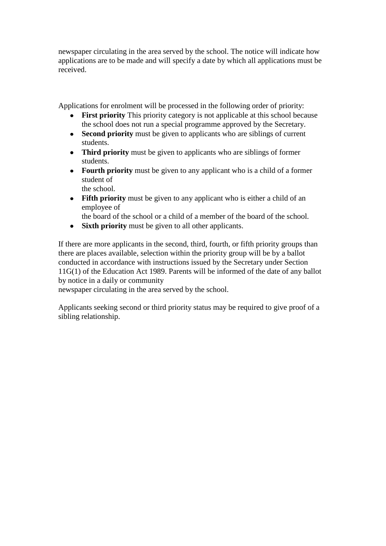newspaper circulating in the area served by the school. The notice will indicate how applications are to be made and will specify a date by which all applications must be received.

Applications for enrolment will be processed in the following order of priority:

- **First priority** This priority category is not applicable at this school because the school does not run a special programme approved by the Secretary.
- $\bullet$ **Second priority** must be given to applicants who are siblings of current students.
- **Third priority** must be given to applicants who are siblings of former students.
- **Fourth priority** must be given to any applicant who is a child of a former student of

the school.

• Fifth priority must be given to any applicant who is either a child of an employee of

the board of the school or a child of a member of the board of the school.

**Sixth priority** must be given to all other applicants.  $\bullet$ 

If there are more applicants in the second, third, fourth, or fifth priority groups than there are places available, selection within the priority group will be by a ballot conducted in accordance with instructions issued by the Secretary under Section 11G(1) of the Education Act 1989. Parents will be informed of the date of any ballot by notice in a daily or community

newspaper circulating in the area served by the school.

Applicants seeking second or third priority status may be required to give proof of a sibling relationship.